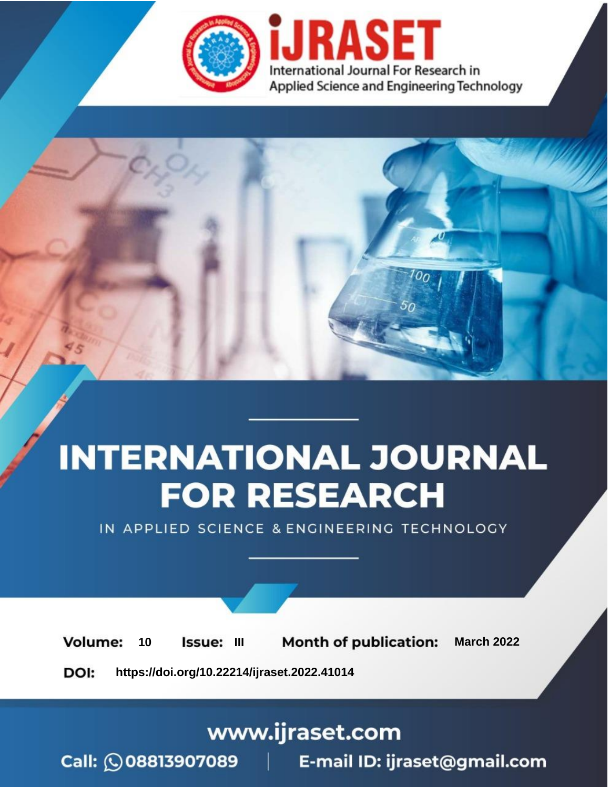

# **INTERNATIONAL JOURNAL FOR RESEARCH**

IN APPLIED SCIENCE & ENGINEERING TECHNOLOGY

**Month of publication: Volume:** 10 **Issue: III March 2022** DOI: https://doi.org/10.22214/ijraset.2022.41014

www.ijraset.com

Call: 008813907089 | E-mail ID: ijraset@gmail.com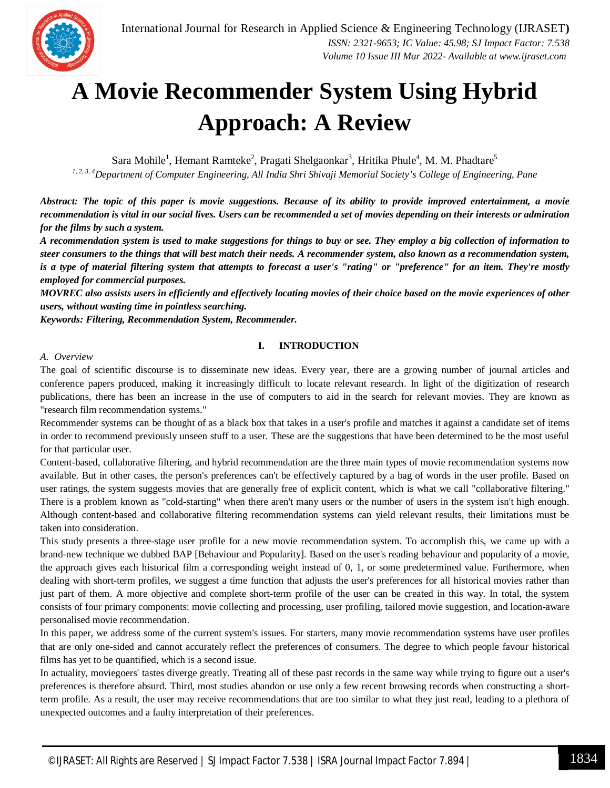

### **A Movie Recommender System Using Hybrid Approach: A Review**

Sara Mohile<sup>1</sup>, Hemant Ramteke<sup>2</sup>, Pragati Shelgaonkar<sup>3</sup>, Hritika Phule<sup>4</sup>, M. M. Phadtare<sup>5</sup>

*1, 2, 3, 4Department of Computer Engineering, All India Shri Shivaji Memorial Society's College of Engineering, Pune*

*Abstract: The topic of this paper is movie suggestions. Because of its ability to provide improved entertainment, a movie recommendation is vital in our social lives. Users can be recommended a set of movies depending on their interests or admiration for the films by such a system.* 

*A recommendation system is used to make suggestions for things to buy or see. They employ a big collection of information to steer consumers to the things that will best match their needs. A recommender system, also known as a recommendation system, is a type of material filtering system that attempts to forecast a user's "rating" or "preference" for an item. They're mostly employed for commercial purposes.* 

*MOVREC also assists users in efficiently and effectively locating movies of their choice based on the movie experiences of other users, without wasting time in pointless searching.*

*Keywords: Filtering, Recommendation System, Recommender.*

#### **I. INTRODUCTION**

#### *A. Overview*

The goal of scientific discourse is to disseminate new ideas. Every year, there are a growing number of journal articles and conference papers produced, making it increasingly difficult to locate relevant research. In light of the digitization of research publications, there has been an increase in the use of computers to aid in the search for relevant movies. They are known as "research film recommendation systems."

Recommender systems can be thought of as a black box that takes in a user's profile and matches it against a candidate set of items in order to recommend previously unseen stuff to a user. These are the suggestions that have been determined to be the most useful for that particular user.

Content-based, collaborative filtering, and hybrid recommendation are the three main types of movie recommendation systems now available. But in other cases, the person's preferences can't be effectively captured by a bag of words in the user profile. Based on user ratings, the system suggests movies that are generally free of explicit content, which is what we call "collaborative filtering." There is a problem known as "cold-starting" when there aren't many users or the number of users in the system isn't high enough. Although content-based and collaborative filtering recommendation systems can yield relevant results, their limitations must be taken into consideration.

This study presents a three-stage user profile for a new movie recommendation system. To accomplish this, we came up with a brand-new technique we dubbed BAP [Behaviour and Popularity]. Based on the user's reading behaviour and popularity of a movie, the approach gives each historical film a corresponding weight instead of 0, 1, or some predetermined value. Furthermore, when dealing with short-term profiles, we suggest a time function that adjusts the user's preferences for all historical movies rather than just part of them. A more objective and complete short-term profile of the user can be created in this way. In total, the system consists of four primary components: movie collecting and processing, user profiling, tailored movie suggestion, and location-aware personalised movie recommendation.

In this paper, we address some of the current system's issues. For starters, many movie recommendation systems have user profiles that are only one-sided and cannot accurately reflect the preferences of consumers. The degree to which people favour historical films has yet to be quantified, which is a second issue.

In actuality, moviegoers' tastes diverge greatly. Treating all of these past records in the same way while trying to figure out a user's preferences is therefore absurd. Third, most studies abandon or use only a few recent browsing records when constructing a shortterm profile. As a result, the user may receive recommendations that are too similar to what they just read, leading to a plethora of unexpected outcomes and a faulty interpretation of their preferences.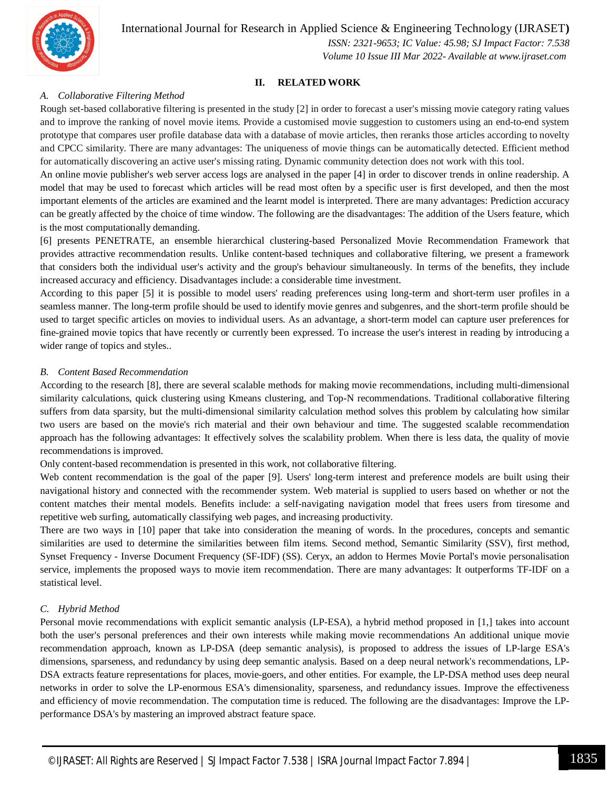

International Journal for Research in Applied Science & Engineering Technology (IJRASET**)**

 *ISSN: 2321-9653; IC Value: 45.98; SJ Impact Factor: 7.538 Volume 10 Issue III Mar 2022- Available at www.ijraset.com*

#### **II. RELATED WORK**

#### *A. Collaborative Filtering Method*

Rough set-based collaborative filtering is presented in the study [2] in order to forecast a user's missing movie category rating values and to improve the ranking of novel movie items. Provide a customised movie suggestion to customers using an end-to-end system prototype that compares user profile database data with a database of movie articles, then reranks those articles according to novelty and CPCC similarity. There are many advantages: The uniqueness of movie things can be automatically detected. Efficient method for automatically discovering an active user's missing rating. Dynamic community detection does not work with this tool.

An online movie publisher's web server access logs are analysed in the paper [4] in order to discover trends in online readership. A model that may be used to forecast which articles will be read most often by a specific user is first developed, and then the most important elements of the articles are examined and the learnt model is interpreted. There are many advantages: Prediction accuracy can be greatly affected by the choice of time window. The following are the disadvantages: The addition of the Users feature, which is the most computationally demanding.

[6] presents PENETRATE, an ensemble hierarchical clustering-based Personalized Movie Recommendation Framework that provides attractive recommendation results. Unlike content-based techniques and collaborative filtering, we present a framework that considers both the individual user's activity and the group's behaviour simultaneously. In terms of the benefits, they include increased accuracy and efficiency. Disadvantages include: a considerable time investment.

According to this paper [5] it is possible to model users' reading preferences using long-term and short-term user profiles in a seamless manner. The long-term profile should be used to identify movie genres and subgenres, and the short-term profile should be used to target specific articles on movies to individual users. As an advantage, a short-term model can capture user preferences for fine-grained movie topics that have recently or currently been expressed. To increase the user's interest in reading by introducing a wider range of topics and styles..

#### *B. Content Based Recommendation*

According to the research [8], there are several scalable methods for making movie recommendations, including multi-dimensional similarity calculations, quick clustering using Kmeans clustering, and Top-N recommendations. Traditional collaborative filtering suffers from data sparsity, but the multi-dimensional similarity calculation method solves this problem by calculating how similar two users are based on the movie's rich material and their own behaviour and time. The suggested scalable recommendation approach has the following advantages: It effectively solves the scalability problem. When there is less data, the quality of movie recommendations is improved.

Only content-based recommendation is presented in this work, not collaborative filtering.

Web content recommendation is the goal of the paper [9]. Users' long-term interest and preference models are built using their navigational history and connected with the recommender system. Web material is supplied to users based on whether or not the content matches their mental models. Benefits include: a self-navigating navigation model that frees users from tiresome and repetitive web surfing, automatically classifying web pages, and increasing productivity.

There are two ways in [10] paper that take into consideration the meaning of words. In the procedures, concepts and semantic similarities are used to determine the similarities between film items. Second method, Semantic Similarity (SSV), first method, Synset Frequency - Inverse Document Frequency (SF-IDF) (SS). Ceryx, an addon to Hermes Movie Portal's movie personalisation service, implements the proposed ways to movie item recommendation. There are many advantages: It outperforms TF-IDF on a statistical level.

#### *C. Hybrid Method*

Personal movie recommendations with explicit semantic analysis (LP-ESA), a hybrid method proposed in [1,] takes into account both the user's personal preferences and their own interests while making movie recommendations An additional unique movie recommendation approach, known as LP-DSA (deep semantic analysis), is proposed to address the issues of LP-large ESA's dimensions, sparseness, and redundancy by using deep semantic analysis. Based on a deep neural network's recommendations, LP-DSA extracts feature representations for places, movie-goers, and other entities. For example, the LP-DSA method uses deep neural networks in order to solve the LP-enormous ESA's dimensionality, sparseness, and redundancy issues. Improve the effectiveness and efficiency of movie recommendation. The computation time is reduced. The following are the disadvantages: Improve the LPperformance DSA's by mastering an improved abstract feature space.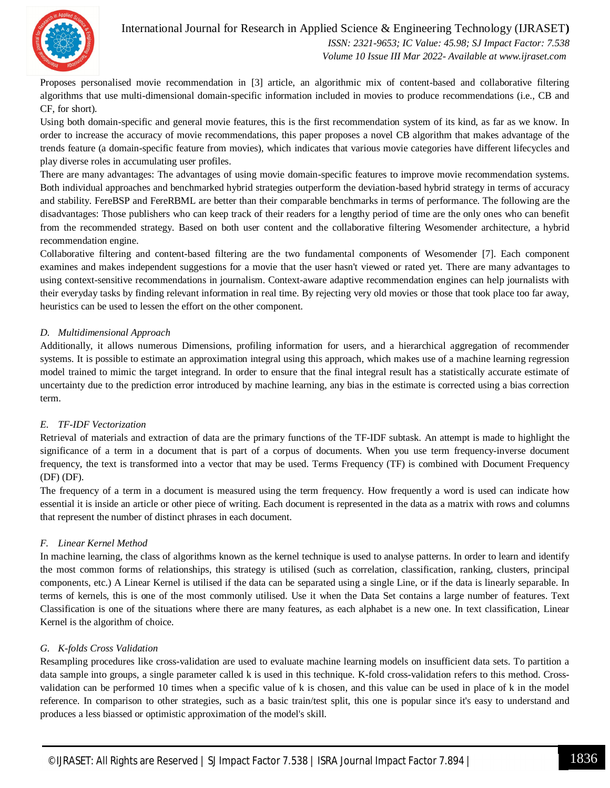

#### International Journal for Research in Applied Science & Engineering Technology (IJRASET**)**  *ISSN: 2321-9653; IC Value: 45.98; SJ Impact Factor: 7.538*

 *Volume 10 Issue III Mar 2022- Available at www.ijraset.com*

Proposes personalised movie recommendation in [3] article, an algorithmic mix of content-based and collaborative filtering algorithms that use multi-dimensional domain-specific information included in movies to produce recommendations (i.e., CB and CF, for short).

Using both domain-specific and general movie features, this is the first recommendation system of its kind, as far as we know. In order to increase the accuracy of movie recommendations, this paper proposes a novel CB algorithm that makes advantage of the trends feature (a domain-specific feature from movies), which indicates that various movie categories have different lifecycles and play diverse roles in accumulating user profiles.

There are many advantages: The advantages of using movie domain-specific features to improve movie recommendation systems. Both individual approaches and benchmarked hybrid strategies outperform the deviation-based hybrid strategy in terms of accuracy and stability. FereBSP and FereRBML are better than their comparable benchmarks in terms of performance. The following are the disadvantages: Those publishers who can keep track of their readers for a lengthy period of time are the only ones who can benefit from the recommended strategy. Based on both user content and the collaborative filtering Wesomender architecture, a hybrid recommendation engine.

Collaborative filtering and content-based filtering are the two fundamental components of Wesomender [7]. Each component examines and makes independent suggestions for a movie that the user hasn't viewed or rated yet. There are many advantages to using context-sensitive recommendations in journalism. Context-aware adaptive recommendation engines can help journalists with their everyday tasks by finding relevant information in real time. By rejecting very old movies or those that took place too far away, heuristics can be used to lessen the effort on the other component.

#### *D. Multidimensional Approach*

Additionally, it allows numerous Dimensions, profiling information for users, and a hierarchical aggregation of recommender systems. It is possible to estimate an approximation integral using this approach, which makes use of a machine learning regression model trained to mimic the target integrand. In order to ensure that the final integral result has a statistically accurate estimate of uncertainty due to the prediction error introduced by machine learning, any bias in the estimate is corrected using a bias correction term.

#### *E. TF-IDF Vectorization*

Retrieval of materials and extraction of data are the primary functions of the TF-IDF subtask. An attempt is made to highlight the significance of a term in a document that is part of a corpus of documents. When you use term frequency-inverse document frequency, the text is transformed into a vector that may be used. Terms Frequency (TF) is combined with Document Frequency (DF) (DF).

The frequency of a term in a document is measured using the term frequency. How frequently a word is used can indicate how essential it is inside an article or other piece of writing. Each document is represented in the data as a matrix with rows and columns that represent the number of distinct phrases in each document.

#### *F. Linear Kernel Method*

In machine learning, the class of algorithms known as the kernel technique is used to analyse patterns. In order to learn and identify the most common forms of relationships, this strategy is utilised (such as correlation, classification, ranking, clusters, principal components, etc.) A Linear Kernel is utilised if the data can be separated using a single Line, or if the data is linearly separable. In terms of kernels, this is one of the most commonly utilised. Use it when the Data Set contains a large number of features. Text Classification is one of the situations where there are many features, as each alphabet is a new one. In text classification, Linear Kernel is the algorithm of choice.

#### *G. K-folds Cross Validation*

Resampling procedures like cross-validation are used to evaluate machine learning models on insufficient data sets. To partition a data sample into groups, a single parameter called k is used in this technique. K-fold cross-validation refers to this method. Crossvalidation can be performed 10 times when a specific value of k is chosen, and this value can be used in place of k in the model reference. In comparison to other strategies, such as a basic train/test split, this one is popular since it's easy to understand and produces a less biassed or optimistic approximation of the model's skill.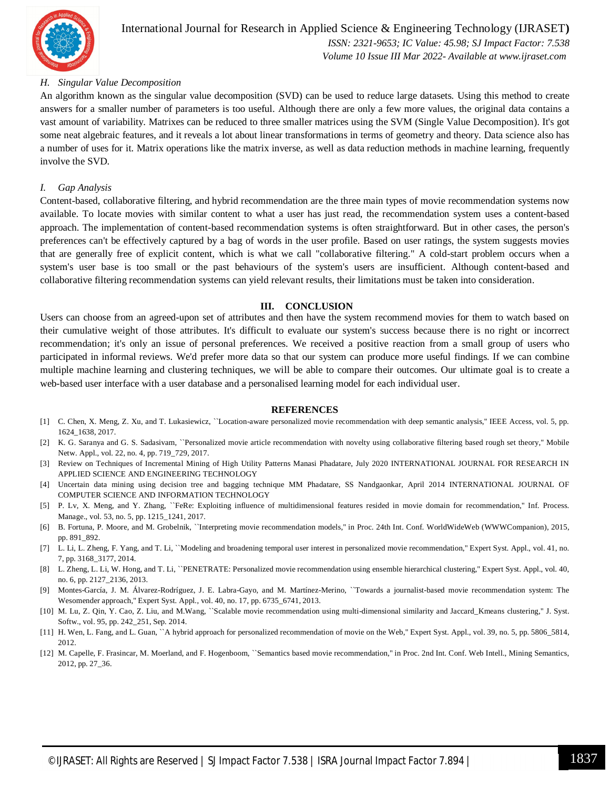

#### International Journal for Research in Applied Science & Engineering Technology (IJRASET**)**  *ISSN: 2321-9653; IC Value: 45.98; SJ Impact Factor: 7.538 Volume 10 Issue III Mar 2022- Available at www.ijraset.com*

#### *H. Singular Value Decomposition*

An algorithm known as the singular value decomposition (SVD) can be used to reduce large datasets. Using this method to create answers for a smaller number of parameters is too useful. Although there are only a few more values, the original data contains a vast amount of variability. Matrixes can be reduced to three smaller matrices using the SVM (Single Value Decomposition). It's got some neat algebraic features, and it reveals a lot about linear transformations in terms of geometry and theory. Data science also has a number of uses for it. Matrix operations like the matrix inverse, as well as data reduction methods in machine learning, frequently involve the SVD.

#### *I. Gap Analysis*

Content-based, collaborative filtering, and hybrid recommendation are the three main types of movie recommendation systems now available. To locate movies with similar content to what a user has just read, the recommendation system uses a content-based approach. The implementation of content-based recommendation systems is often straightforward. But in other cases, the person's preferences can't be effectively captured by a bag of words in the user profile. Based on user ratings, the system suggests movies that are generally free of explicit content, which is what we call "collaborative filtering." A cold-start problem occurs when a system's user base is too small or the past behaviours of the system's users are insufficient. Although content-based and collaborative filtering recommendation systems can yield relevant results, their limitations must be taken into consideration.

#### **III. CONCLUSION**

Users can choose from an agreed-upon set of attributes and then have the system recommend movies for them to watch based on their cumulative weight of those attributes. It's difficult to evaluate our system's success because there is no right or incorrect recommendation; it's only an issue of personal preferences. We received a positive reaction from a small group of users who participated in informal reviews. We'd prefer more data so that our system can produce more useful findings. If we can combine multiple machine learning and clustering techniques, we will be able to compare their outcomes. Our ultimate goal is to create a web-based user interface with a user database and a personalised learning model for each individual user.

#### **REFERENCES**

- [1] C. Chen, X. Meng, Z. Xu, and T. Lukasiewicz, ``Location-aware personalized movie recommendation with deep semantic analysis,'' IEEE Access, vol. 5, pp. 1624\_1638, 2017.
- [2] K. G. Saranya and G. S. Sadasivam, ``Personalized movie article recommendation with novelty using collaborative filtering based rough set theory,'' Mobile Netw. Appl., vol. 22, no. 4, pp. 719\_729, 2017.
- [3] Review on Techniques of Incremental Mining of High Utility Patterns Manasi Phadatare, July 2020 INTERNATIONAL JOURNAL FOR RESEARCH IN APPLIED SCIENCE AND ENGINEERING TECHNOLOGY
- [4] Uncertain data mining using decision tree and bagging technique MM Phadatare, SS Nandgaonkar, April 2014 INTERNATIONAL JOURNAL OF COMPUTER SCIENCE AND INFORMATION TECHNOLOGY
- [5] P. Lv, X. Meng, and Y. Zhang, "FeRe: Exploiting influence of multidimensional features resided in movie domain for recommendation," Inf. Process. Manage., vol. 53, no. 5, pp. 1215\_1241, 2017.
- [6] B. Fortuna, P. Moore, and M. Grobelnik, ``Interpreting movie recommendation models,'' in Proc. 24th Int. Conf. WorldWideWeb (WWWCompanion), 2015, pp. 891\_892.
- [7] L. Li, L. Zheng, F. Yang, and T. Li, "Modeling and broadening temporal user interest in personalized movie recommendation," Expert Syst. Appl., vol. 41, no. 7, pp. 3168\_3177, 2014.
- [8] L. Zheng, L. Li, W. Hong, and T. Li, ``PENETRATE: Personalized movie recommendation using ensemble hierarchical clustering,'' Expert Syst. Appl., vol. 40, no. 6, pp. 2127\_2136, 2013.
- [9] Montes-García, J. M. Álvarez-Rodríguez, J. E. Labra-Gayo, and M. Martínez-Merino, ``Towards a journalist-based movie recommendation system: The Wesomender approach,'' Expert Syst. Appl., vol. 40, no. 17, pp. 6735\_6741, 2013.
- [10] M. Lu, Z. Qin, Y. Cao, Z. Liu, and M.Wang, ``Scalable movie recommendation using multi-dimensional similarity and Jaccard\_Kmeans clustering," J. Syst. Softw., vol. 95, pp. 242\_251, Sep. 2014.
- [11] H. Wen, L. Fang, and L. Guan, ``A hybrid approach for personalized recommendation of movie on the Web," Expert Syst. Appl., vol. 39, no. 5, pp. 5806\_5814, 2012.
- [12] M. Capelle, F. Frasincar, M. Moerland, and F. Hogenboom, ``Semantics based movie recommendation," in Proc. 2nd Int. Conf. Web Intell., Mining Semantics, 2012, pp. 27\_36.